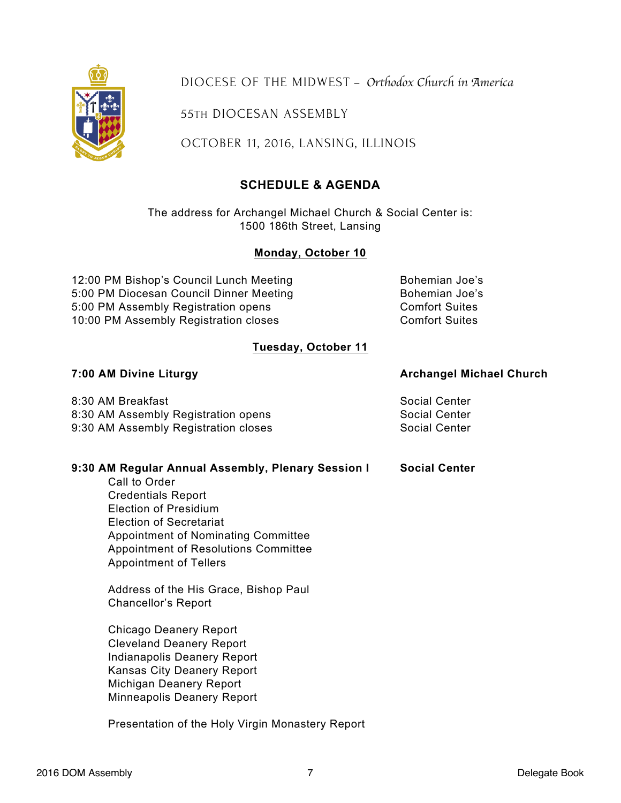2016 DOM Assembly 7 Delegate Book

# DIOCESE OF THE MIDWEST – *Orthodox Church in America*

55TH DIOCESAN ASSEMBLY

OCTOBER 11, 2016, LANSING, ILLINOIS

## **SCHEDULE & AGENDA**

The address for Archangel Michael Church & Social Center is: 1500 186th Street, Lansing

#### **Monday, October 10**

12:00 PM Bishop's Council Lunch Meeting The Connection Bohemian Joe's 5:00 PM Diocesan Council Dinner Meeting **Bohemian Joe's** 5:00 PM Assembly Registration opens Comfort Suites 10:00 PM Assembly Registration closes Comfort Suites

### **Tuesday, October 11**

#### **7:00 AM Divine Liturgy <b>Archangel Michael Church Archangel Michael Church**

8:30 AM Breakfast Social Center Social Center 8:30 AM Assembly Registration opens Social Center 9:30 AM Assembly Registration closes Social Center

## **9:30 AM Regular Annual Assembly, Plenary Session I Social Center**

Call to Order Credentials Report Election of Presidium Election of Secretariat Appointment of Nominating Committee Appointment of Resolutions Committee Appointment of Tellers

Address of the His Grace, Bishop Paul Chancellor's Report

Chicago Deanery Report Cleveland Deanery Report Indianapolis Deanery Report Kansas City Deanery Report Michigan Deanery Report Minneapolis Deanery Report

Presentation of the Holy Virgin Monastery Report